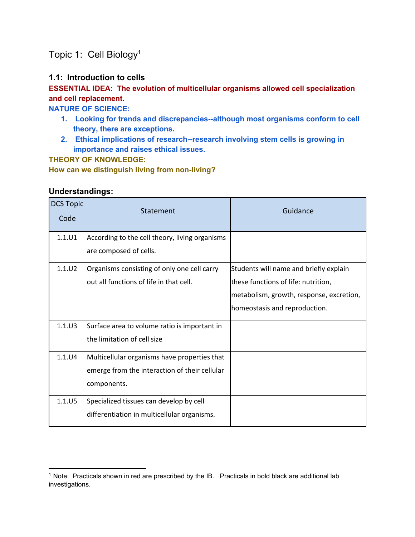# Topic 1: Cell Biology<sup>1</sup>

#### **1.1: Introduction to cells**

# **ESSENTIAL IDEA: The evolution of multicellular organisms allowed cell specialization and cell replacement.**

**NATURE OF SCIENCE:**

- 1. Looking for trends and discrepancies--although most organisms conform to cell **theory, there are exceptions.**
- 2. **Ethical implications of research--research involving stem cells is growing in importance and raises ethical issues.**

**THEORY OF KNOWLEDGE:**

**How can we distinguish living from nonliving?**

#### **Understandings:**

| <b>DCS Topic</b><br>Code | Statement                                      | Guidance                                 |
|--------------------------|------------------------------------------------|------------------------------------------|
| 1.1.U1                   | According to the cell theory, living organisms |                                          |
|                          | are composed of cells.                         |                                          |
| 1.1.U2                   | Organisms consisting of only one cell carry    | Students will name and briefly explain   |
|                          | out all functions of life in that cell.        | these functions of life: nutrition,      |
|                          |                                                | metabolism, growth, response, excretion, |
|                          |                                                | homeostasis and reproduction.            |
| $1.1.$ U3                | Surface area to volume ratio is important in   |                                          |
|                          | the limitation of cell size                    |                                          |
| 1.1.U4                   | Multicellular organisms have properties that   |                                          |
|                          | emerge from the interaction of their cellular  |                                          |
|                          | components.                                    |                                          |
| 1.1.U5                   | Specialized tissues can develop by cell        |                                          |
|                          | differentiation in multicellular organisms.    |                                          |

<sup>&</sup>lt;sup>1</sup> Note: Practicals shown in red are prescribed by the IB. Practicals in bold black are additional lab investigations.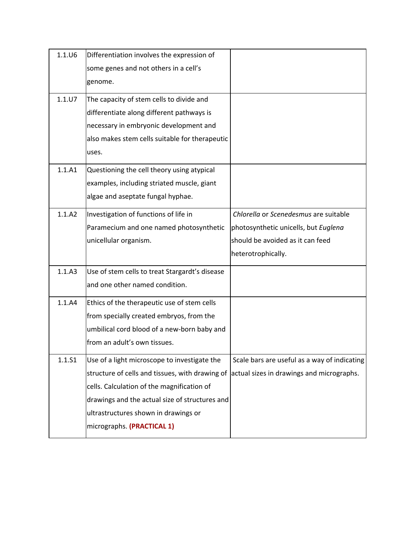| $1.1.$ U6 | Differentiation involves the expression of      |                                              |
|-----------|-------------------------------------------------|----------------------------------------------|
|           | some genes and not others in a cell's           |                                              |
|           | genome.                                         |                                              |
| 1.1.07    | The capacity of stem cells to divide and        |                                              |
|           | differentiate along different pathways is       |                                              |
|           | necessary in embryonic development and          |                                              |
|           | also makes stem cells suitable for therapeutic  |                                              |
|           | uses.                                           |                                              |
| 1.1.A1    | Questioning the cell theory using atypical      |                                              |
|           | examples, including striated muscle, giant      |                                              |
|           | algae and aseptate fungal hyphae.               |                                              |
| 1.1.A2    | Investigation of functions of life in           | Chlorella or Scenedesmus are suitable        |
|           | Paramecium and one named photosynthetic         | photosynthetic unicells, but Euglena         |
|           | unicellular organism.                           | should be avoided as it can feed             |
|           |                                                 | heterotrophically.                           |
| 1.1.A3    | Use of stem cells to treat Stargardt's disease  |                                              |
|           | and one other named condition.                  |                                              |
| 1.1.A4    | Ethics of the therapeutic use of stem cells     |                                              |
|           | from specially created embryos, from the        |                                              |
|           | umbilical cord blood of a new-born baby and     |                                              |
|           | from an adult's own tissues.                    |                                              |
| 1.1.S1    | Use of a light microscope to investigate the    | Scale bars are useful as a way of indicating |
|           | structure of cells and tissues, with drawing of | actual sizes in drawings and micrographs.    |
|           | cells. Calculation of the magnification of      |                                              |
|           | drawings and the actual size of structures and  |                                              |
|           | ultrastructures shown in drawings or            |                                              |
|           | micrographs. (PRACTICAL 1)                      |                                              |
|           |                                                 |                                              |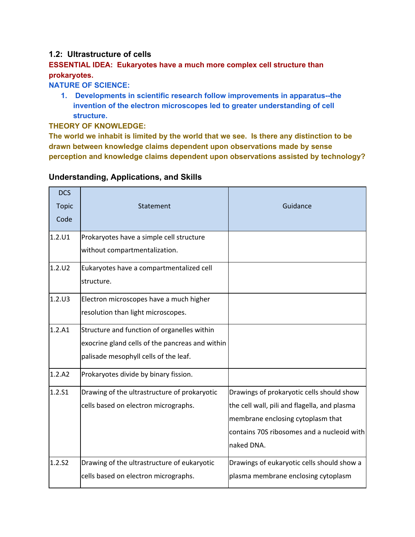#### **1.2: Ultrastructure of cells**

# **ESSENTIAL IDEA: Eukaryotes have a much more complex cell structure than prokaryotes.**

#### **NATURE OF SCIENCE:**

**1. Developments in scientific research follow improvements in apparatus--the invention of the electron microscopes led to greater understanding of cell structure.**

#### **THEORY OF KNOWLEDGE:**

**The world we inhabit is limited by the world that we see. Is there any distinction to be drawn between knowledge claims dependent upon observations made by sense perception and knowledge claims dependent upon observations assisted by technology?**

| <b>DCS</b><br><b>Topic</b><br>Code | Statement                                                                                                                               | Guidance                                                                                                                                                                                   |
|------------------------------------|-----------------------------------------------------------------------------------------------------------------------------------------|--------------------------------------------------------------------------------------------------------------------------------------------------------------------------------------------|
| 1.2.U1                             | Prokaryotes have a simple cell structure<br>without compartmentalization.                                                               |                                                                                                                                                                                            |
| 1.2.U2                             | Eukaryotes have a compartmentalized cell<br>structure.                                                                                  |                                                                                                                                                                                            |
| 1.2.U3                             | Electron microscopes have a much higher<br>resolution than light microscopes.                                                           |                                                                                                                                                                                            |
| 1.2.A1                             | Structure and function of organelles within<br>exocrine gland cells of the pancreas and within<br>palisade mesophyll cells of the leaf. |                                                                                                                                                                                            |
| 1.2.A2                             | Prokaryotes divide by binary fission.                                                                                                   |                                                                                                                                                                                            |
| 1.2.S1                             | Drawing of the ultrastructure of prokaryotic<br>cells based on electron micrographs.                                                    | Drawings of prokaryotic cells should show<br>the cell wall, pili and flagella, and plasma<br>membrane enclosing cytoplasm that<br>contains 70S ribosomes and a nucleoid with<br>naked DNA. |
| 1.2.52                             | Drawing of the ultrastructure of eukaryotic<br>cells based on electron micrographs.                                                     | Drawings of eukaryotic cells should show a<br>plasma membrane enclosing cytoplasm                                                                                                          |

# **Understanding, Applications, and Skills**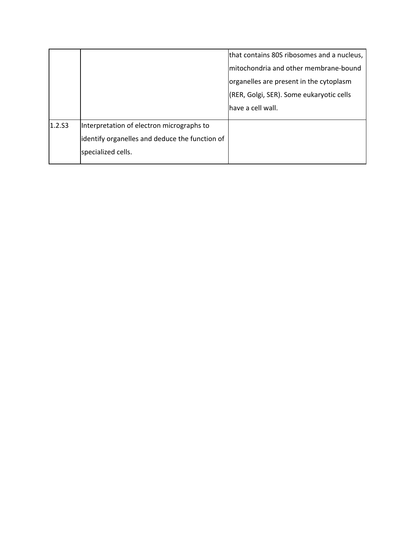|        |                                                | that contains 80S ribosomes and a nucleus, |
|--------|------------------------------------------------|--------------------------------------------|
|        |                                                | mitochondria and other membrane-bound      |
|        |                                                | organelles are present in the cytoplasm    |
|        |                                                | (RER, Golgi, SER). Some eukaryotic cells   |
|        |                                                | lhave a cell wall.                         |
| 1.2.53 | Interpretation of electron micrographs to      |                                            |
|        | identify organelles and deduce the function of |                                            |
|        | specialized cells.                             |                                            |
|        |                                                |                                            |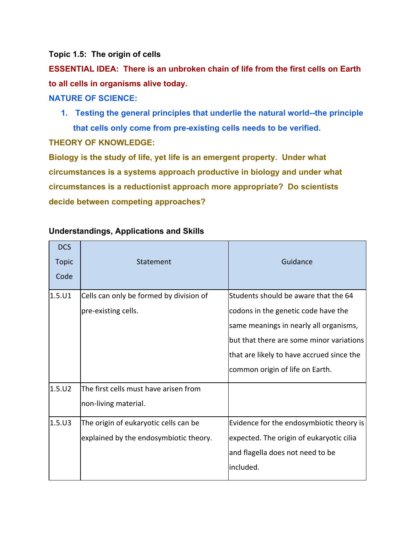**Topic 1.5: The origin of cells**

**ESSENTIAL IDEA: There is an unbroken chain of life from the first cells on Earth to all cells in organisms alive today.**

**NATURE OF SCIENCE:**

**1. Testing the general principles that underlie the natural world--the principle that cells only come from preexisting cells needs to be verified. THEORY OF KNOWLEDGE:**

**Biology is the study of life, yet life is an emergent property. Under what circumstances is a systems approach productive in biology and under what circumstances is a reductionist approach more appropriate? Do scientists decide between competing approaches?**

| <b>DCS</b><br><b>Topic</b><br>Code | Statement                               | Guidance                                  |
|------------------------------------|-----------------------------------------|-------------------------------------------|
| 1.5.01                             | Cells can only be formed by division of | Students should be aware that the 64      |
|                                    | pre-existing cells.                     | codons in the genetic code have the       |
|                                    |                                         | same meanings in nearly all organisms,    |
|                                    |                                         | but that there are some minor variations  |
|                                    |                                         | that are likely to have accrued since the |
|                                    |                                         | common origin of life on Earth.           |
| 1.5.U2                             | The first cells must have arisen from   |                                           |
|                                    | non-living material.                    |                                           |
| 1.5.03                             | The origin of eukaryotic cells can be   | Evidence for the endosymbiotic theory is  |
|                                    | explained by the endosymbiotic theory.  | expected. The origin of eukaryotic cilia  |
|                                    |                                         | and flagella does not need to be          |
|                                    |                                         | included.                                 |

### **Understandings, Applications and Skills**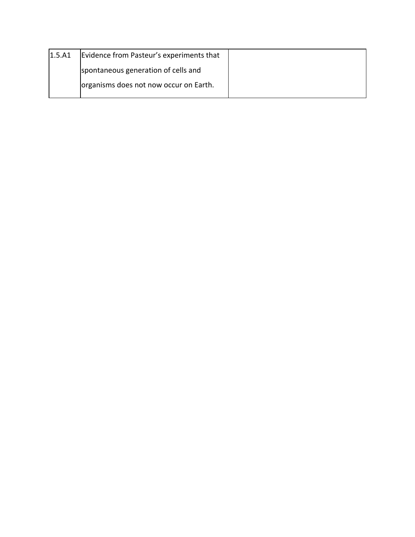| 1.5.A1 | Evidence from Pasteur's experiments that |  |
|--------|------------------------------------------|--|
|        | spontaneous generation of cells and      |  |
|        | organisms does not now occur on Earth.   |  |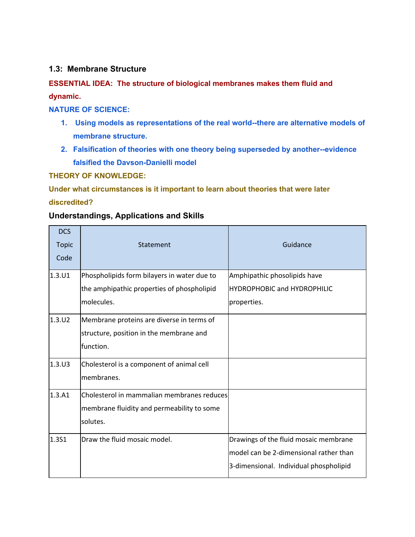#### **1.3: Membrane Structure**

# **ESSENTIAL IDEA: The structure of biological membranes makes them fluid and dynamic.**

**NATURE OF SCIENCE:**

- **1. Using models as representations of the real worldthere are alternative models of membrane structure.**
- **2.** Falsification of theories with one theory being superseded by another--evidence **falsified the Davson-Danielli model**

**THEORY OF KNOWLEDGE:**

**Under what circumstances is it important to learn about theories that were later**

#### **discredited?**

#### **Understandings, Applications and Skills**

| <b>DCS</b><br><b>Topic</b><br>Code | Statement                                   | Guidance                               |
|------------------------------------|---------------------------------------------|----------------------------------------|
| 1.3.01                             | Phospholipids form bilayers in water due to | Amphipathic phosolipids have           |
|                                    | the amphipathic properties of phospholipid  | <b>HYDROPHOBIC and HYDROPHILIC</b>     |
|                                    | molecules.                                  | properties.                            |
| 1.3.U2                             | Membrane proteins are diverse in terms of   |                                        |
|                                    | structure, position in the membrane and     |                                        |
|                                    | function.                                   |                                        |
| $1.3.$ U3                          | Cholesterol is a component of animal cell   |                                        |
|                                    | membranes.                                  |                                        |
| 1.3.A1                             | Cholesterol in mammalian membranes reduces  |                                        |
|                                    | membrane fluidity and permeability to some  |                                        |
|                                    | solutes.                                    |                                        |
| 1.3S1                              | Draw the fluid mosaic model.                | Drawings of the fluid mosaic membrane  |
|                                    |                                             | model can be 2-dimensional rather than |
|                                    |                                             | 3-dimensional. Individual phospholipid |
|                                    |                                             |                                        |
|                                    |                                             |                                        |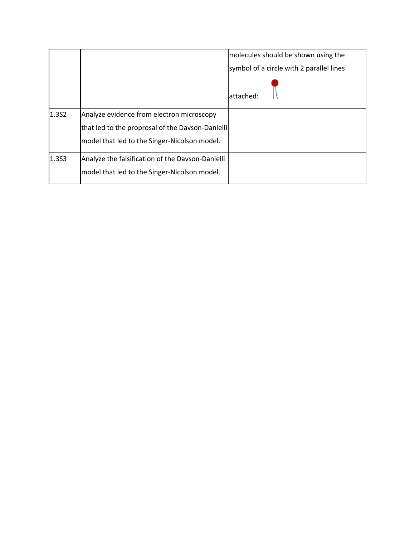|       |                                                  | molecules should be shown using the      |
|-------|--------------------------------------------------|------------------------------------------|
|       |                                                  | symbol of a circle with 2 parallel lines |
|       |                                                  | lattached:                               |
| 1.352 | Analyze evidence from electron microscopy        |                                          |
|       | that led to the proprosal of the Davson-Danielli |                                          |
|       | model that led to the Singer-Nicolson model.     |                                          |
| 1.353 | Analyze the falsification of the Davson-Danielli |                                          |
|       | model that led to the Singer-Nicolson model.     |                                          |